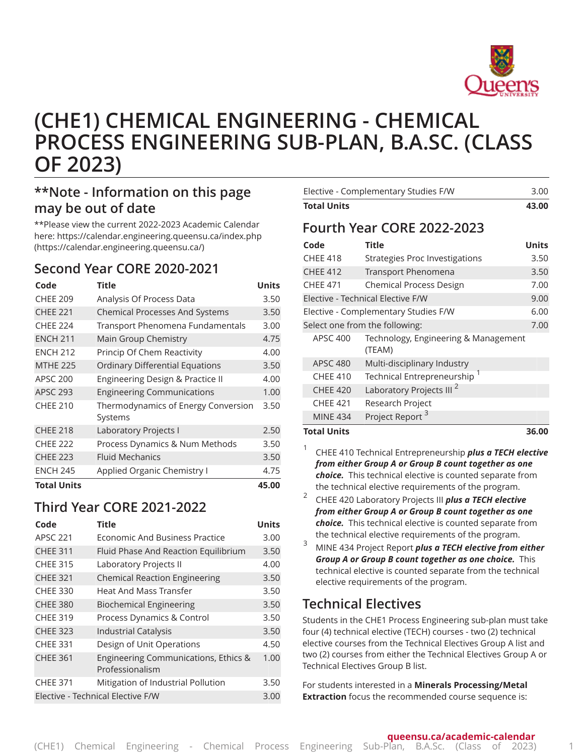

# **(CHE1) CHEMICAL ENGINEERING - CHEMICAL PROCESS ENGINEERING SUB-PLAN, B.A.SC. (CLASS OF 2023)**

## **\*\*Note - Information on this page may be out of date**

\*\*Please view the current 2022-2023 Academic Calendar here: [https://calendar.engineering.queensu.ca/index.php](https://calendar.engineering.queensu.ca/) ([https://calendar.engineering.queensu.ca/\)](https://calendar.engineering.queensu.ca/)

#### **Second Year CORE 2020-2021**

| Code               | <b>Title</b>                                   | <b>Units</b> |
|--------------------|------------------------------------------------|--------------|
| <b>CHEE 209</b>    | Analysis Of Process Data                       | 3.50         |
| <b>CHEE 221</b>    | <b>Chemical Processes And Systems</b>          |              |
| <b>CHEE 224</b>    | Transport Phenomena Fundamentals               | 3.00         |
| <b>ENCH 211</b>    | Main Group Chemistry                           | 4.75         |
| <b>FNCH 212</b>    | Princip Of Chem Reactivity                     | 4.00         |
| <b>MTHE 225</b>    | <b>Ordinary Differential Equations</b>         | 3.50         |
| <b>APSC 200</b>    | Engineering Design & Practice II               | 4.00         |
| <b>APSC 293</b>    | <b>Engineering Communications</b>              | 1.00         |
| <b>CHEE 210</b>    | Thermodynamics of Energy Conversion<br>Systems | 3.50         |
| <b>CHEE 218</b>    | Laboratory Projects I                          | 2.50         |
| <b>CHEE 222</b>    | Process Dynamics & Num Methods                 | 3.50         |
| <b>CHEE 223</b>    | <b>Fluid Mechanics</b>                         | 3.50         |
| <b>ENCH 245</b>    | Applied Organic Chemistry I                    | 4.75         |
| <b>Total Units</b> |                                                | 45.00        |

## **Third Year CORE 2021-2022**

| Code                                      | <b>Title</b>                                            | <b>Units</b> |  |
|-------------------------------------------|---------------------------------------------------------|--------------|--|
| <b>APSC 221</b>                           | Economic And Business Practice                          | 3.00         |  |
| <b>CHEE 311</b>                           | Fluid Phase And Reaction Equilibrium                    | 3.50         |  |
| <b>CHEE 315</b>                           | Laboratory Projects II                                  | 4.00         |  |
| <b>CHEE 321</b>                           | <b>Chemical Reaction Engineering</b>                    | 3.50         |  |
| <b>CHEE 330</b>                           | Heat And Mass Transfer                                  | 3.50         |  |
| <b>CHEE 380</b>                           | <b>Biochemical Engineering</b>                          | 3.50         |  |
| <b>CHEE 319</b>                           | Process Dynamics & Control                              | 3.50         |  |
| <b>CHEE 323</b>                           | <b>Industrial Catalysis</b>                             | 3.50         |  |
| <b>CHEE 331</b>                           | Design of Unit Operations                               | 4.50         |  |
| <b>CHEE 361</b>                           | Engineering Communications, Ethics &<br>Professionalism | 1.00         |  |
| <b>CHEE 371</b>                           | Mitigation of Industrial Pollution                      | 3.50         |  |
| Elective - Technical Elective F/W<br>3.00 |                                                         |              |  |

| Elective - Complementary Studies F/W | 3.00                              |       |  |  |
|--------------------------------------|-----------------------------------|-------|--|--|
| <b>Total Units</b>                   | 43.00                             |       |  |  |
| Fourth Year CORE 2022-2023           |                                   |       |  |  |
| Code                                 | Title                             | Units |  |  |
| <b>CHEE 418</b>                      | Strategies Proc Investigations    | 3.50  |  |  |
| <b>CHEE 412</b>                      | <b>Transport Phenomena</b>        | 3.50  |  |  |
| <b>CHEE 471</b>                      | <b>Chemical Process Design</b>    | 7.00  |  |  |
|                                      | Elective - Technical Elective F/W |       |  |  |
| Elective - Complementary Studies F/W | 6.00                              |       |  |  |

Select one from the following: The selection of the 7.00 APSC 400 Technology, Engineering & Management

(TEAM) APSC 480 Multi-disciplinary Industry CHEE 410 Technical Entrepreneurship  $1$ CHEE 420 Laboratory Projects III<sup>2</sup>

CHEE 421 Research Project

|                             | <b>MINE 434</b>                                                                                                  | Project Report <sup>3</sup>                                     |  |  |  |  |
|-----------------------------|------------------------------------------------------------------------------------------------------------------|-----------------------------------------------------------------|--|--|--|--|
| <b>Total Units</b><br>36.00 |                                                                                                                  |                                                                 |  |  |  |  |
|                             | CHEE 410 Technical Entrepreneurship plus a TECH elective<br>from either Group A or Group B count together as one |                                                                 |  |  |  |  |
|                             |                                                                                                                  | <b>choice.</b> This technical elective is counted separate from |  |  |  |  |
|                             | the technical elective requirements of the program.                                                              |                                                                 |  |  |  |  |

2 CHEE 420 Laboratory Projects III *plus a TECH elective from either Group A or Group B count together as one choice.* This technical elective is counted separate from the technical elective requirements of the program.

<sup>3</sup> MINE <sup>434</sup> Project Report *plus <sup>a</sup> TECH elective from either Group A or Group B count together as one choice.* This technical elective is counted separate from the technical elective requirements of the program.

## **Technical Electives**

Students in the CHE1 Process Engineering sub-plan must take four (4) technical elective (TECH) courses - two (2) technical elective courses from the Technical Electives Group A list and two (2) courses from either the Technical Electives Group A or Technical Electives Group B list.

For students interested in a **Minerals Processing/Metal Extraction** focus the recommended course sequence is: